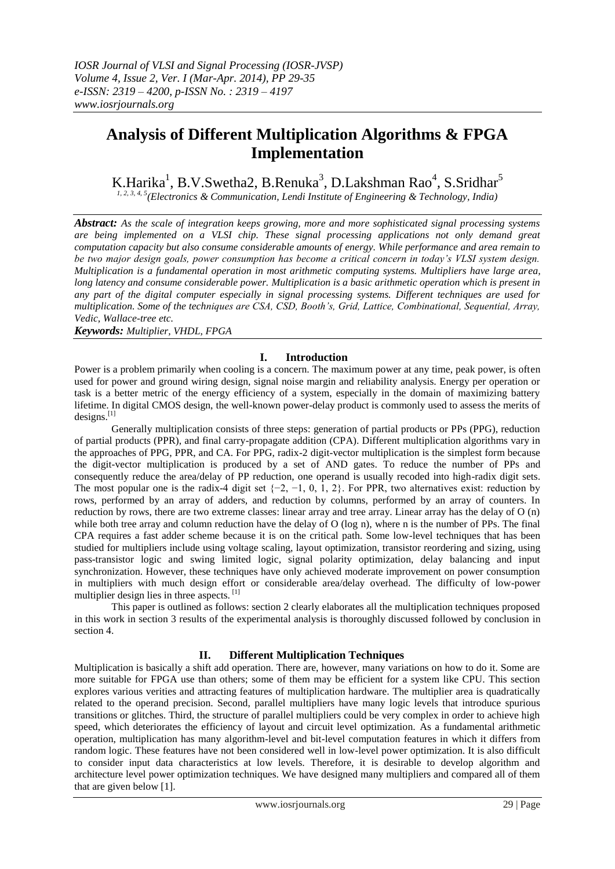# **Analysis of Different Multiplication Algorithms & FPGA Implementation**

K.Harika<sup>1</sup>, B.V.Swetha2, B.Renuka<sup>3</sup>, D.Lakshman Rao<sup>4</sup>, S.Sridhar<sup>5</sup>

*1, 2, 3, 4, 5(Electronics & Communication, Lendi Institute of Engineering & Technology, India)*

*Abstract: As the scale of integration keeps growing, more and more sophisticated signal processing systems are being implemented on a VLSI chip. These signal processing applications not only demand great computation capacity but also consume considerable amounts of energy. While performance and area remain to be two major design goals, power consumption has become a critical concern in today's VLSI system design. Multiplication is a fundamental operation in most arithmetic computing systems. Multipliers have large area, long latency and consume considerable power. Multiplication is a basic arithmetic operation which is present in any part of the digital computer especially in signal processing systems. Different techniques are used for multiplication. Some of the techniques are CSA, CSD, Booth's, Grid, Lattice, Combinational, Sequential, Array, Vedic, Wallace-tree etc.*

*Keywords: Multiplier, VHDL, FPGA*

## **I. Introduction**

Power is a problem primarily when cooling is a concern. The maximum power at any time, peak power, is often used for power and ground wiring design, signal noise margin and reliability analysis. Energy per operation or task is a better metric of the energy efficiency of a system, especially in the domain of maximizing battery lifetime. In digital CMOS design, the well-known power-delay product is commonly used to assess the merits of  $desiens.$ <sup>[1]</sup>

Generally multiplication consists of three steps: generation of partial products or PPs (PPG), reduction of partial products (PPR), and final carry-propagate addition (CPA). Different multiplication algorithms vary in the approaches of PPG, PPR, and CA. For PPG, radix-2 digit-vector multiplication is the simplest form because the digit-vector multiplication is produced by a set of AND gates. To reduce the number of PPs and consequently reduce the area/delay of PP reduction, one operand is usually recoded into high-radix digit sets. The most popular one is the radix-4 digit set  $\{-2, -1, 0, 1, 2\}$ . For PPR, two alternatives exist: reduction by rows, performed by an array of adders, and reduction by columns, performed by an array of counters. In reduction by rows, there are two extreme classes: linear array and tree array. Linear array has the delay of O (n) while both tree array and column reduction have the delay of O (log n), where n is the number of PPs. The final CPA requires a fast adder scheme because it is on the critical path. Some low-level techniques that has been studied for multipliers include using voltage scaling, layout optimization, transistor reordering and sizing, using pass-transistor logic and swing limited logic, signal polarity optimization, delay balancing and input synchronization. However, these techniques have only achieved moderate improvement on power consumption in multipliers with much design effort or considerable area/delay overhead. The difficulty of low-power multiplier design lies in three aspects. [1]

This paper is outlined as follows: section 2 clearly elaborates all the multiplication techniques proposed in this work in section 3 results of the experimental analysis is thoroughly discussed followed by conclusion in section 4.

# **II. Different Multiplication Techniques**

Multiplication is basically a shift add operation. There are, however, many variations on how to do it. Some are more suitable for FPGA use than others; some of them may be efficient for a system like CPU. This section explores various verities and attracting features of multiplication hardware. The multiplier area is quadratically related to the operand precision. Second, parallel multipliers have many logic levels that introduce spurious transitions or glitches. Third, the structure of parallel multipliers could be very complex in order to achieve high speed, which deteriorates the efficiency of layout and circuit level optimization. As a fundamental arithmetic operation, multiplication has many algorithm-level and bit-level computation features in which it differs from random logic. These features have not been considered well in low-level power optimization. It is also difficult to consider input data characteristics at low levels. Therefore, it is desirable to develop algorithm and architecture level power optimization techniques. We have designed many multipliers and compared all of them that are given below [1].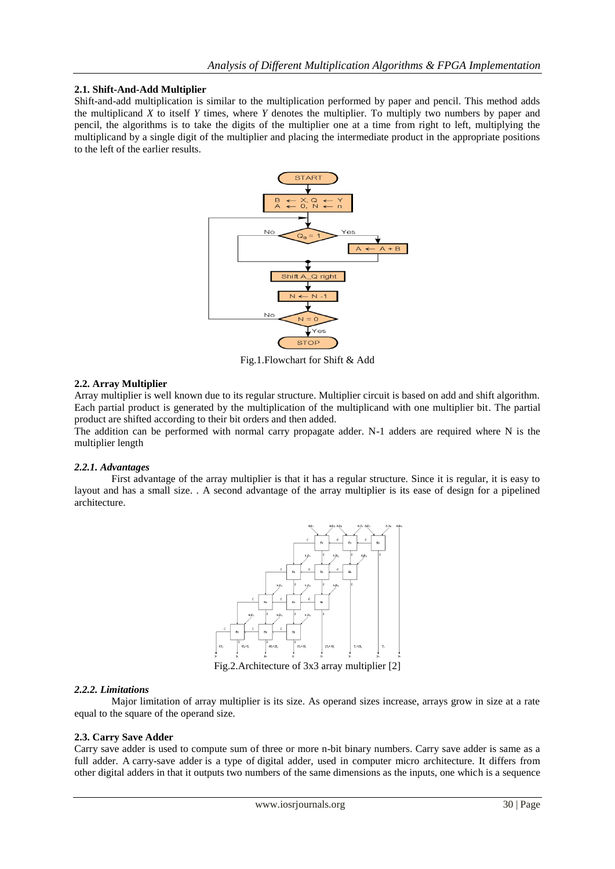#### **2.1. Shift-And-Add Multiplier**

Shift-and-add multiplication is similar to the multiplication performed by paper and pencil. This method adds the multiplicand *X* to itself *Y* times, where *Y* denotes the multiplier. To multiply two numbers by paper and pencil, the algorithms is to take the digits of the multiplier one at a time from right to left, multiplying the multiplicand by a single digit of the multiplier and placing the intermediate product in the appropriate positions to the left of the earlier results.



Fig.1.Flowchart for Shift & Add

#### **2.2. Array Multiplier**

Array multiplier is well known due to its regular structure. Multiplier circuit is based on add and shift algorithm. Each partial product is generated by the multiplication of the multiplicand with one multiplier bit. The partial product are shifted according to their bit orders and then added.

The addition can be performed with normal carry propagate adder. N-1 adders are required where N is the multiplier length

#### *2.2.1. Advantages*

First advantage of the array multiplier is that it has a regular structure. Since it is regular, it is easy to layout and has a small size. . A second advantage of the array multiplier is its ease of design for a pipelined architecture.



Fig.2.Architecture of 3x3 array multiplier [2]

#### *2.2.2. Limitations*

Major limitation of array multiplier is its size. As operand sizes increase, arrays grow in size at a rate equal to the square of the operand size.

#### **2.3. Carry Save Adder**

Carry save adder is used to compute sum of three or more n-bit binary numbers. Carry save adder is same as a full adder. A carry-save adder is a type of digital adder, used in computer micro architecture. It differs from other digital adders in that it outputs two numbers of the same dimensions as the inputs, one which is a sequence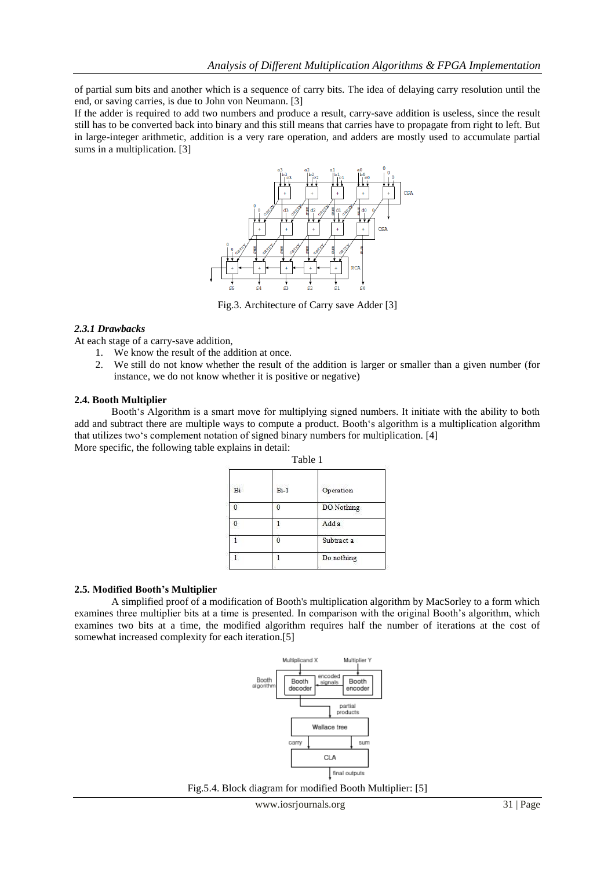of partial sum bits and another which is a sequence of carry bits. The idea of delaying carry resolution until the end, or saving carries, is due to John von Neumann. [3]

If the adder is required to add two numbers and produce a result, carry-save addition is useless, since the result still has to be converted back into binary and this still means that carries have to propagate from right to left. But in large-integer arithmetic, addition is a very rare operation, and adders are mostly used to accumulate partial sums in a multiplication. [3]



Fig.3. Architecture of Carry save Adder [3]

#### *2.3.1 Drawbacks*

At each stage of a carry-save addition,

- 1. We know the result of the addition at once.
- 2. We still do not know whether the result of the addition is larger or smaller than a given number (for instance, we do not know whether it is positive or negative)

#### **2.4. Booth Multiplier**

Booth"s Algorithm is a smart move for multiplying signed numbers. It initiate with the ability to both add and subtract there are multiple ways to compute a product. Booth"s algorithm is a multiplication algorithm that utilizes two"s complement notation of signed binary numbers for multiplication. [4] More specific, the following table explains in detail:

| Table 1 |            |  |  |  |  |
|---------|------------|--|--|--|--|
| $Bi-1$  | Operation  |  |  |  |  |
|         | DO Nothing |  |  |  |  |
|         | Add a      |  |  |  |  |
|         | Subtract a |  |  |  |  |
|         | Do nothing |  |  |  |  |
|         |            |  |  |  |  |

#### **2.5. Modified Booth's Multiplier**

A simplified proof of a modification of Booth's multiplication algorithm by MacSorley to a form which examines three multiplier bits at a time is presented. In comparison with the original Booth's algorithm, which examines two bits at a time, the modified algorithm requires half the number of iterations at the cost of somewhat increased complexity for each iteration.[5]



Fig.5.4. Block diagram for modified Booth Multiplier: [5]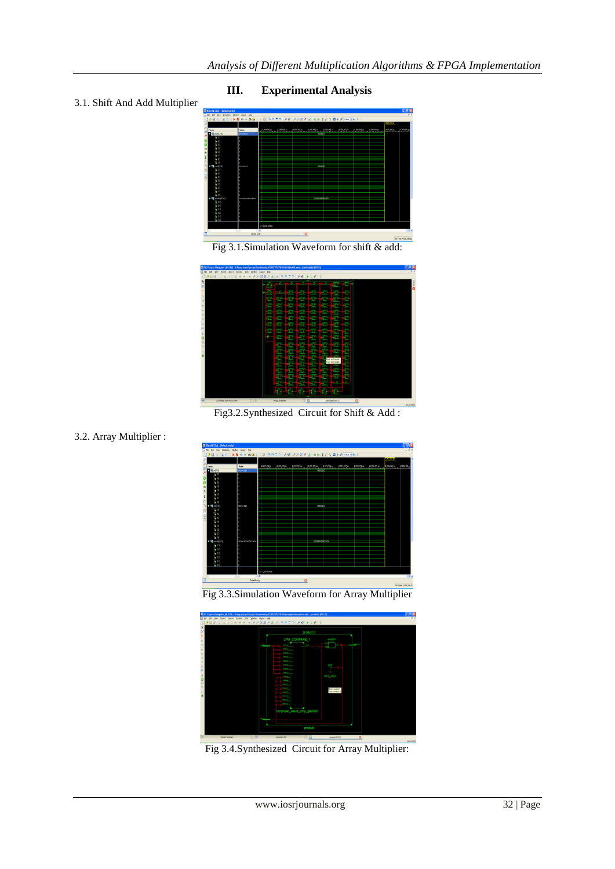

**III. Experimental Analysis**

# 3.1. Shift And Add Multiplier





Fig3.2.Synthesized Circuit for Shift & Add :







Fig 3.4.Synthesized Circuit for Array Multiplier:

3.2. Array Multiplier :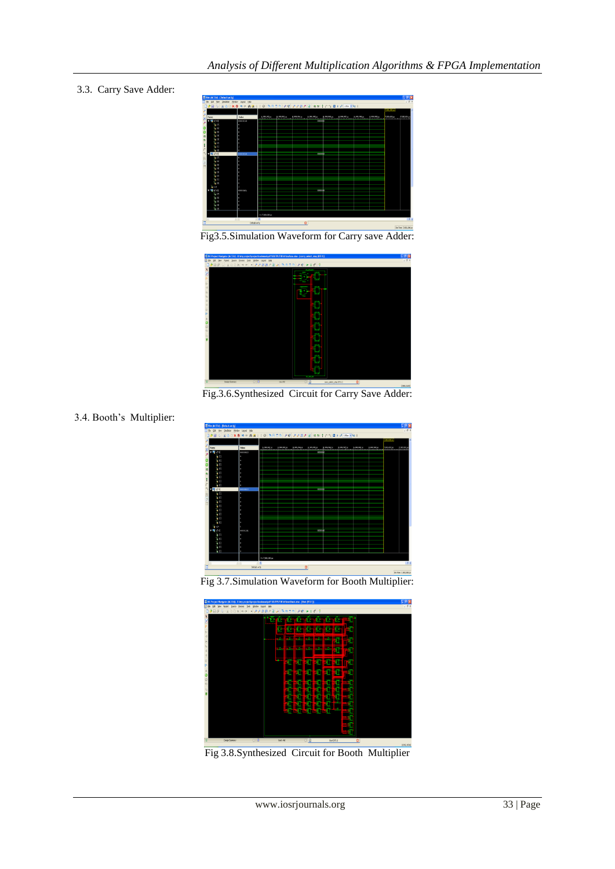### 3.3. Carry Save Adder:



Fig3.5.Simulation Waveform for Carry save Adder:



Fig.3.6.Synthesized Circuit for Carry Save Adder:

3.4. Booth"s Multiplier:



Fig 3.7.Simulation Waveform for Booth Multiplier:



Fig 3.8.Synthesized Circuit for Booth Multiplier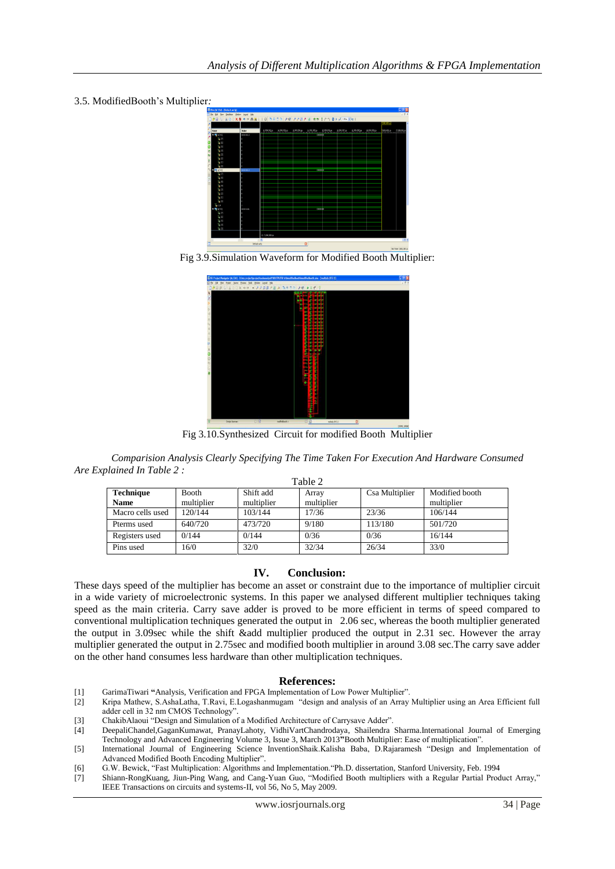

3.5. ModifiedBooth"s Multiplier*:*





Fig 3.10.Synthesized Circuit for modified Booth Multiplier

*Comparision Analysis Clearly Specifying The Time Taken For Execution And Hardware Consumed Are Explained In Table 2 :*  $T<sub>0</sub>$  ble 2

| $1$ and $2$      |              |            |            |                |                |  |
|------------------|--------------|------------|------------|----------------|----------------|--|
| <b>Technique</b> | <b>Booth</b> | Shift add  | Array      | Csa Multiplier | Modified booth |  |
| <b>Name</b>      | multiplier   | multiplier | multiplier |                | multiplier     |  |
| Macro cells used | 120/144      | 103/144    | 17/36      | 23/36          | 106/144        |  |
| Pterms used      | 640/720      | 473/720    | 9/180      | 113/180        | 501/720        |  |
| Registers used   | 0/144        | 0/144      | 0/36       | 0/36           | 16/144         |  |
| Pins used        | 16/0         | 32/0       | 32/34      | 26/34          | 33/0           |  |

#### **IV. Conclusion:**

These days speed of the multiplier has become an asset or constraint due to the importance of multiplier circuit in a wide variety of microelectronic systems. In this paper we analysed different multiplier techniques taking speed as the main criteria. Carry save adder is proved to be more efficient in terms of speed compared to conventional multiplication techniques generated the output in 2.06 sec, whereas the booth multiplier generated the output in 3.09sec while the shift &add multiplier produced the output in 2.31 sec. However the array multiplier generated the output in 2.75sec and modified booth multiplier in around 3.08 sec.The carry save adder on the other hand consumes less hardware than other multiplication techniques.

#### **References:**

- [1] GarimaTiwari **"**Analysis, Verification and FPGA Implementation of Low Power Multiplier".
- [2] Kripa Mathew, S.AshaLatha, T.Ravi, E.Logashanmugam "design and analysis of an Array Multiplier using an Area Efficient full adder cell in 32 nm CMOS Technology".
- [3] ChakibAlaoui "Design and Simulation of a Modified Architecture of Carrysave Adder".
- [4] DeepaliChandel,GaganKumawat, PranayLahoty, VidhiVartChandrodaya, Shailendra Sharma.International Journal of Emerging Technology and Advanced Engineering Volume 3, Issue 3, March 2013**"**Booth Multiplier: Ease of multiplication".
- [5] International Journal of Engineering Science InventionShaik.Kalisha Baba, D.Rajaramesh "Design and Implementation of Advanced Modified Booth Encoding Multiplier".
- [6] G.W. Bewick, "Fast Multiplication: Algorithms and Implementation."Ph.D. dissertation, Stanford University, Feb. 1994
- [7] Shiann-RongKuang, Jiun-Ping Wang, and Cang-Yuan Guo, "Modified Booth multipliers with a Regular Partial Product Array," IEEE Transactions on circuits and systems-II, vol 56, No 5, May 2009.